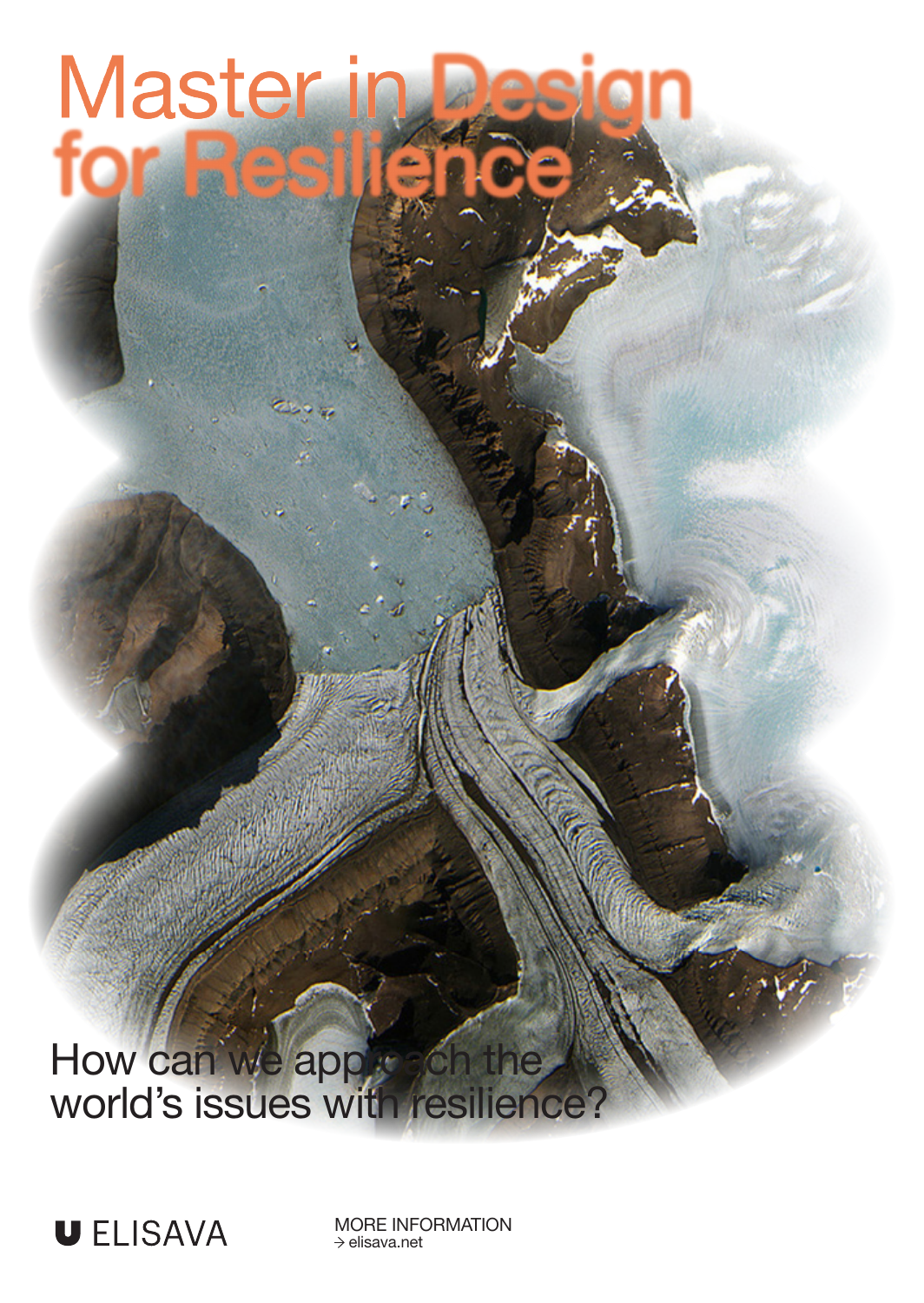Master in

How can we apple son the world's issues with resilience?



MORE INFORMATION  $\rightarrow$  elisava.net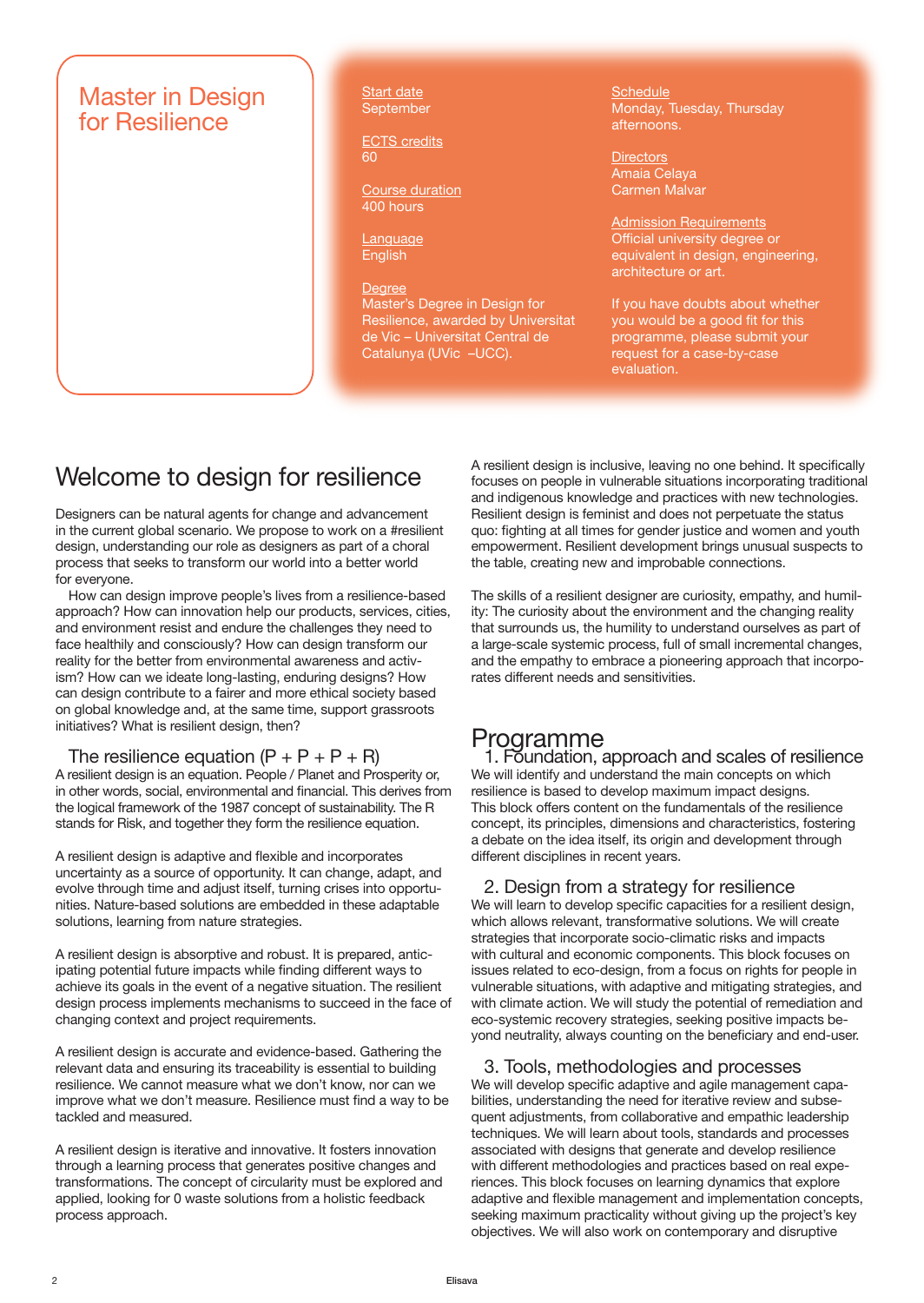

Start date September

ECTS credits 60

Course duration 400 hours

Language **English** 

Degree Master's Degree in Design for Resilience, awarded by Universitat de Vic – Universitat Central de Catalunya (UVic –UCC).

**Schedule** Monday, Tuesday, Thursday afternoons.

**Directors** Amaia Celaya Carmen Malvar

Admission Requirements Official university degree or equivalent in design, engineering, architecture or art.

If you have doubts about whether you would be a good fit for this programme, please submit your request for a case-by-case evaluation.

## Welcome to design for resilience

Designers can be natural agents for change and advancement in the current global scenario. We propose to work on a #resilient design, understanding our role as designers as part of a choral process that seeks to transform our world into a better world for everyone.

How can design improve people's lives from a resilience-based approach? How can innovation help our products, services, cities, and environment resist and endure the challenges they need to face healthily and consciously? How can design transform our reality for the better from environmental awareness and activism? How can we ideate long-lasting, enduring designs? How can design contribute to a fairer and more ethical society based on global knowledge and, at the same time, support grassroots initiatives? What is resilient design, then?

#### The resilience equation  $(P + P + P + R)$

A resilient design is an equation. People / Planet and Prosperity or, in other words, social, environmental and financial. This derives from the logical framework of the 1987 concept of sustainability. The R stands for Risk, and together they form the resilience equation.

A resilient design is adaptive and flexible and incorporates uncertainty as a source of opportunity. It can change, adapt, and evolve through time and adjust itself, turning crises into opportunities. Nature-based solutions are embedded in these adaptable solutions, learning from nature strategies.

A resilient design is absorptive and robust. It is prepared, anticipating potential future impacts while finding different ways to achieve its goals in the event of a negative situation. The resilient design process implements mechanisms to succeed in the face of changing context and project requirements.

A resilient design is accurate and evidence-based. Gathering the relevant data and ensuring its traceability is essential to building resilience. We cannot measure what we don't know, nor can we improve what we don't measure. Resilience must find a way to be tackled and measured.

A resilient design is iterative and innovative. It fosters innovation through a learning process that generates positive changes and transformations. The concept of circularity must be explored and applied, looking for 0 waste solutions from a holistic feedback process approach.

A resilient design is inclusive, leaving no one behind. It specifically focuses on people in vulnerable situations incorporating traditional and indigenous knowledge and practices with new technologies. Resilient design is feminist and does not perpetuate the status quo: fighting at all times for gender justice and women and youth empowerment. Resilient development brings unusual suspects to the table, creating new and improbable connections.

The skills of a resilient designer are curiosity, empathy, and humility: The curiosity about the environment and the changing reality that surrounds us, the humility to understand ourselves as part of a large-scale systemic process, full of small incremental changes, and the empathy to embrace a pioneering approach that incorporates different needs and sensitivities.

### Programme

1. Foundation, approach and scales of resilience We will identify and understand the main concepts on which resilience is based to develop maximum impact designs. This block offers content on the fundamentals of the resilience concept, its principles, dimensions and characteristics, fostering a debate on the idea itself, its origin and development through different disciplines in recent years.

### 2. Design from a strategy for resilience

We will learn to develop specific capacities for a resilient design, which allows relevant, transformative solutions. We will create strategies that incorporate socio-climatic risks and impacts with cultural and economic components. This block focuses on issues related to eco-design, from a focus on rights for people in vulnerable situations, with adaptive and mitigating strategies, and with climate action. We will study the potential of remediation and eco-systemic recovery strategies, seeking positive impacts beyond neutrality, always counting on the beneficiary and end-user.

#### 3. Tools, methodologies and processes

We will develop specific adaptive and agile management capabilities, understanding the need for iterative review and subsequent adjustments, from collaborative and empathic leadership techniques. We will learn about tools, standards and processes associated with designs that generate and develop resilience with different methodologies and practices based on real experiences. This block focuses on learning dynamics that explore adaptive and flexible management and implementation concepts, seeking maximum practicality without giving up the project's key objectives. We will also work on contemporary and disruptive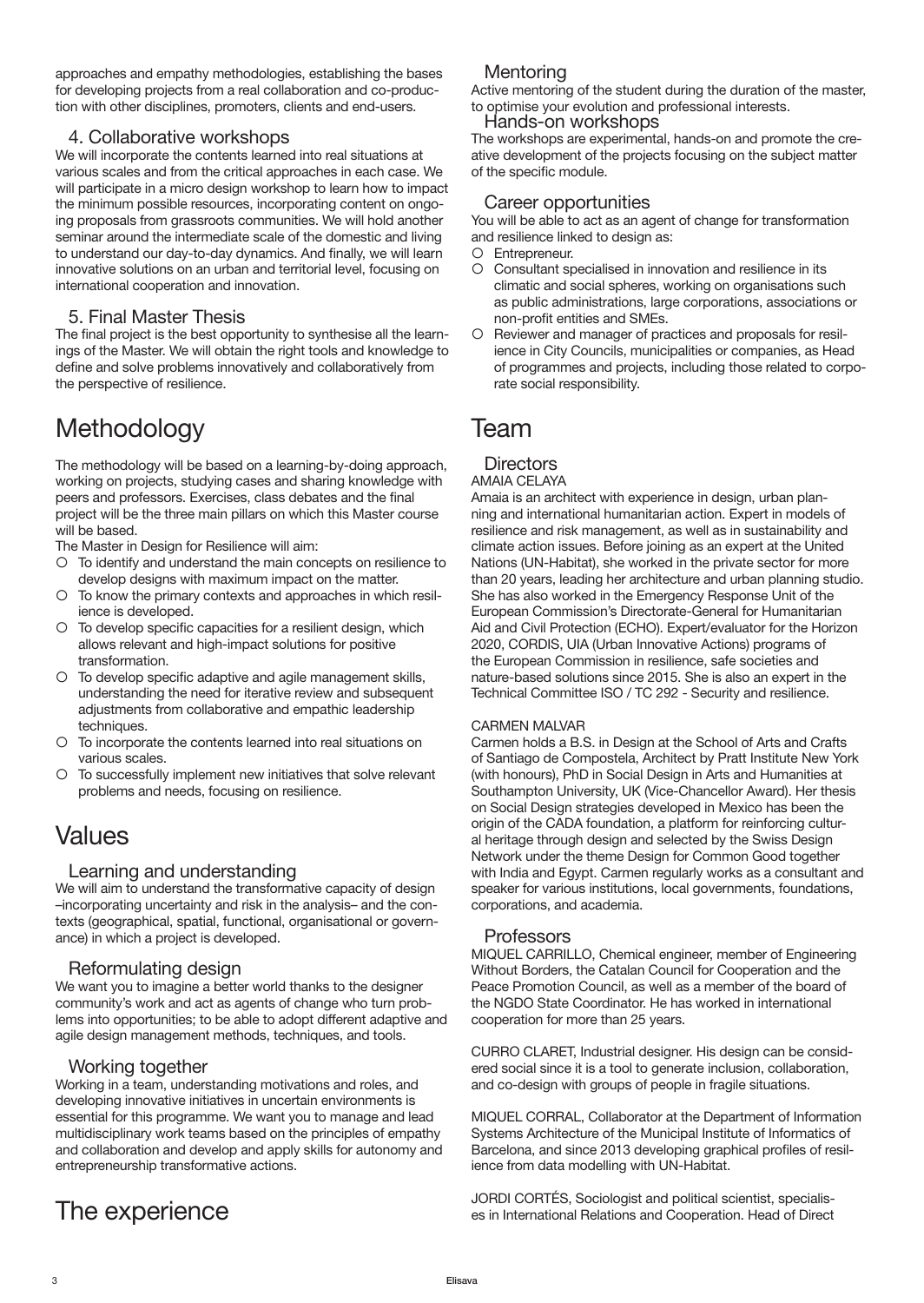approaches and empathy methodologies, establishing the bases for developing projects from a real collaboration and co-production with other disciplines, promoters, clients and end-users.

#### 4. Collaborative workshops

We will incorporate the contents learned into real situations at various scales and from the critical approaches in each case. We will participate in a micro design workshop to learn how to impact the minimum possible resources, incorporating content on ongoing proposals from grassroots communities. We will hold another seminar around the intermediate scale of the domestic and living to understand our day-to-day dynamics. And finally, we will learn innovative solutions on an urban and territorial level, focusing on international cooperation and innovation.

#### 5. Final Master Thesis

The final project is the best opportunity to synthesise all the learnings of the Master. We will obtain the right tools and knowledge to define and solve problems innovatively and collaboratively from the perspective of resilience.

# **Methodology**

The methodology will be based on a learning-by-doing approach, working on projects, studying cases and sharing knowledge with peers and professors. Exercises, class debates and the final project will be the three main pillars on which this Master course will be based.

The Master in Design for Resilience will aim:

- To identify and understand the main concepts on resilience to develop designs with maximum impact on the matter.
- c To know the primary contexts and approaches in which resilience is developed.
- $\circ$  To develop specific capacities for a resilient design, which allows relevant and high-impact solutions for positive transformation.
- c To develop specific adaptive and agile management skills, understanding the need for iterative review and subsequent adjustments from collaborative and empathic leadership techniques.
- c To incorporate the contents learned into real situations on various scales.
- c To successfully implement new initiatives that solve relevant problems and needs, focusing on resilience.

# Values

#### Learning and understanding

We will aim to understand the transformative capacity of design –incorporating uncertainty and risk in the analysis– and the contexts (geographical, spatial, functional, organisational or governance) in which a project is developed.

#### Reformulating design

We want you to imagine a better world thanks to the designer community's work and act as agents of change who turn problems into opportunities; to be able to adopt different adaptive and agile design management methods, techniques, and tools.

#### Working together

Working in a team, understanding motivations and roles, and developing innovative initiatives in uncertain environments is essential for this programme. We want you to manage and lead multidisciplinary work teams based on the principles of empathy and collaboration and develop and apply skills for autonomy and entrepreneurship transformative actions.

### The experience

#### Mentoring

Active mentoring of the student during the duration of the master, to optimise your evolution and professional interests.

#### Hands-on workshops

The workshops are experimental, hands-on and promote the creative development of the projects focusing on the subject matter of the specific module.

#### Career opportunities

You will be able to act as an agent of change for transformation and resilience linked to design as:

- O Entrepreneur.
- c Consultant specialised in innovation and resilience in its climatic and social spheres, working on organisations such as public administrations, large corporations, associations or non-profit entities and SMEs.
- c Reviewer and manager of practices and proposals for resilience in City Councils, municipalities or companies, as Head of programmes and projects, including those related to corporate social responsibility.

### Team

### **Directors**

#### AMAIA CELAYA

Amaia is an architect with experience in design, urban planning and international humanitarian action. Expert in models of resilience and risk management, as well as in sustainability and climate action issues. Before joining as an expert at the United Nations (UN-Habitat), she worked in the private sector for more than 20 years, leading her architecture and urban planning studio. She has also worked in the Emergency Response Unit of the European Commission's Directorate-General for Humanitarian Aid and Civil Protection (ECHO). Expert/evaluator for the Horizon 2020, CORDIS, UIA (Urban Innovative Actions) programs of the European Commission in resilience, safe societies and nature-based solutions since 2015. She is also an expert in the Technical Committee ISO / TC 292 - Security and resilience.

#### CARMEN MALVAR

Carmen holds a B.S. in Design at the School of Arts and Crafts of Santiago de Compostela, Architect by Pratt Institute New York (with honours), PhD in Social Design in Arts and Humanities at Southampton University, UK (Vice-Chancellor Award). Her thesis on Social Design strategies developed in Mexico has been the origin of the CADA foundation, a platform for reinforcing cultural heritage through design and selected by the Swiss Design Network under the theme Design for Common Good together with India and Egypt. Carmen regularly works as a consultant and speaker for various institutions, local governments, foundations, corporations, and academia.

#### Professors

MIQUEL CARRILLO, Chemical engineer, member of Engineering Without Borders, the Catalan Council for Cooperation and the Peace Promotion Council, as well as a member of the board of the NGDO State Coordinator. He has worked in international cooperation for more than 25 years.

CURRO CLARET, Industrial designer. His design can be considered social since it is a tool to generate inclusion, collaboration, and co-design with groups of people in fragile situations.

MIQUEL CORRAL, Collaborator at the Department of Information Systems Architecture of the Municipal Institute of Informatics of Barcelona, and since 2013 developing graphical profiles of resilience from data modelling with UN-Habitat.

JORDI CORTÉS, Sociologist and political scientist, specialises in International Relations and Cooperation. Head of Direct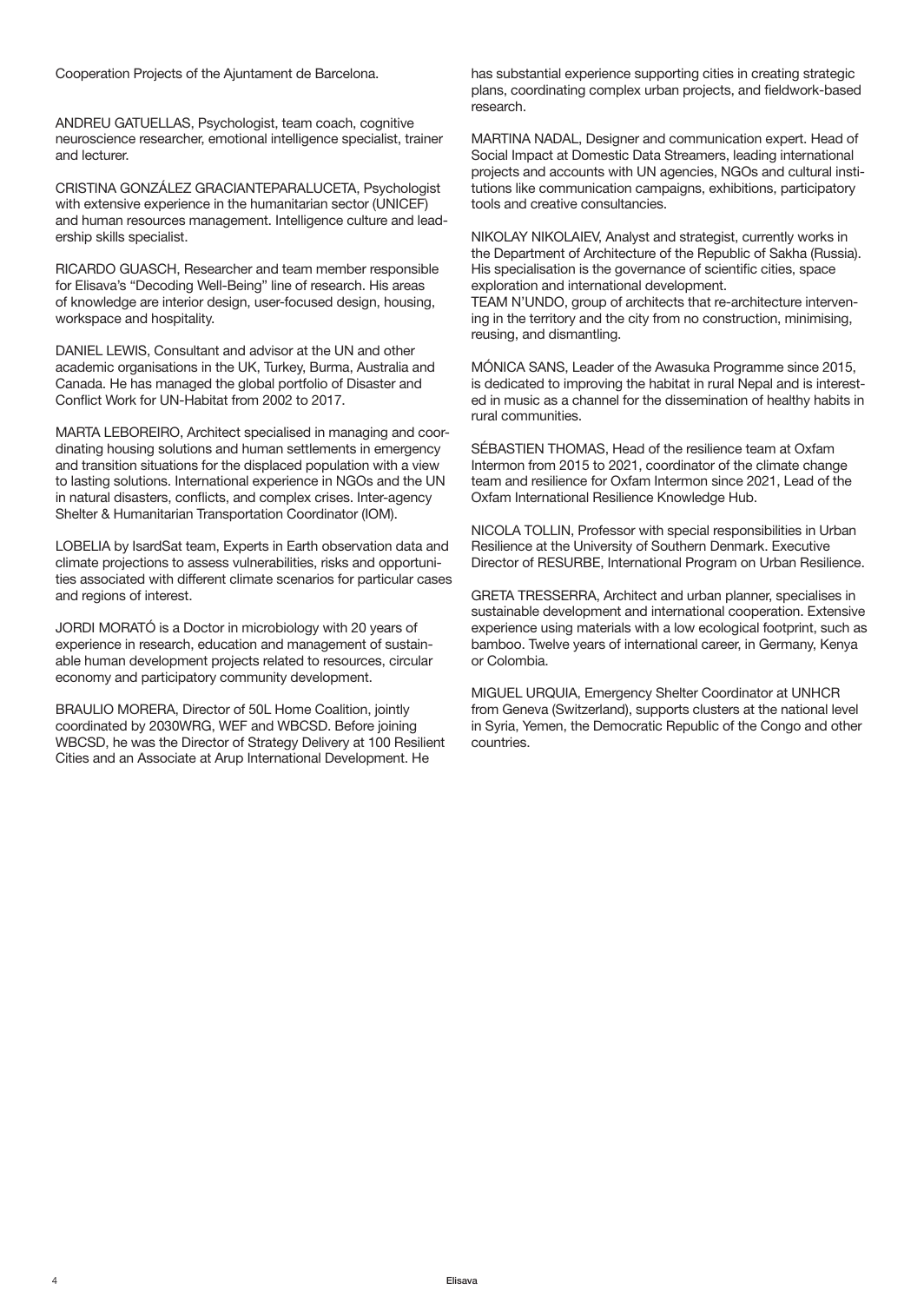Cooperation Projects of the Ajuntament de Barcelona.

ANDREU GATUELLAS, Psychologist, team coach, cognitive neuroscience researcher, emotional intelligence specialist, trainer and lecturer.

CRISTINA GONZÁLEZ GRACIANTEPARALUCETA, Psychologist with extensive experience in the humanitarian sector (UNICEF) and human resources management. Intelligence culture and leadership skills specialist.

RICARDO GUASCH, Researcher and team member responsible for Elisava's "Decoding Well-Being" line of research. His areas of knowledge are interior design, user-focused design, housing, workspace and hospitality.

DANIEL LEWIS, Consultant and advisor at the UN and other academic organisations in the UK, Turkey, Burma, Australia and Canada. He has managed the global portfolio of Disaster and Conflict Work for UN-Habitat from 2002 to 2017.

MARTA LEBOREIRO, Architect specialised in managing and coordinating housing solutions and human settlements in emergency and transition situations for the displaced population with a view to lasting solutions. International experience in NGOs and the UN in natural disasters, conflicts, and complex crises. Inter-agency Shelter & Humanitarian Transportation Coordinator (IOM).

LOBELIA by IsardSat team, Experts in Earth observation data and climate projections to assess vulnerabilities, risks and opportunities associated with different climate scenarios for particular cases and regions of interest.

JORDI MORATÓ is a Doctor in microbiology with 20 years of experience in research, education and management of sustainable human development projects related to resources, circular economy and participatory community development.

BRAULIO MORERA, Director of 50L Home Coalition, jointly coordinated by 2030WRG, WEF and WBCSD. Before joining WBCSD, he was the Director of Strategy Delivery at 100 Resilient Cities and an Associate at Arup International Development. He

has substantial experience supporting cities in creating strategic plans, coordinating complex urban projects, and fieldwork-based research.

MARTINA NADAL, Designer and communication expert. Head of Social Impact at Domestic Data Streamers, leading international projects and accounts with UN agencies, NGOs and cultural institutions like communication campaigns, exhibitions, participatory tools and creative consultancies.

NIKOLAY NIKOLAIEV, Analyst and strategist, currently works in the Department of Architecture of the Republic of Sakha (Russia). His specialisation is the governance of scientific cities, space exploration and international development.

TEAM N'UNDO, group of architects that re-architecture intervening in the territory and the city from no construction, minimising, reusing, and dismantling.

MÓNICA SANS, Leader of the Awasuka Programme since 2015, is dedicated to improving the habitat in rural Nepal and is interested in music as a channel for the dissemination of healthy habits in rural communities.

SÉBASTIEN THOMAS, Head of the resilience team at Oxfam Intermon from 2015 to 2021, coordinator of the climate change team and resilience for Oxfam Intermon since 2021, Lead of the Oxfam International Resilience Knowledge Hub.

NICOLA TOLLIN, Professor with special responsibilities in Urban Resilience at the University of Southern Denmark. Executive Director of RESURBE, International Program on Urban Resilience.

GRETA TRESSERRA, Architect and urban planner, specialises in sustainable development and international cooperation. Extensive experience using materials with a low ecological footprint, such as bamboo. Twelve years of international career, in Germany, Kenya or Colombia.

MIGUEL URQUIA, Emergency Shelter Coordinator at UNHCR from Geneva (Switzerland), supports clusters at the national level in Syria, Yemen, the Democratic Republic of the Congo and other countries.